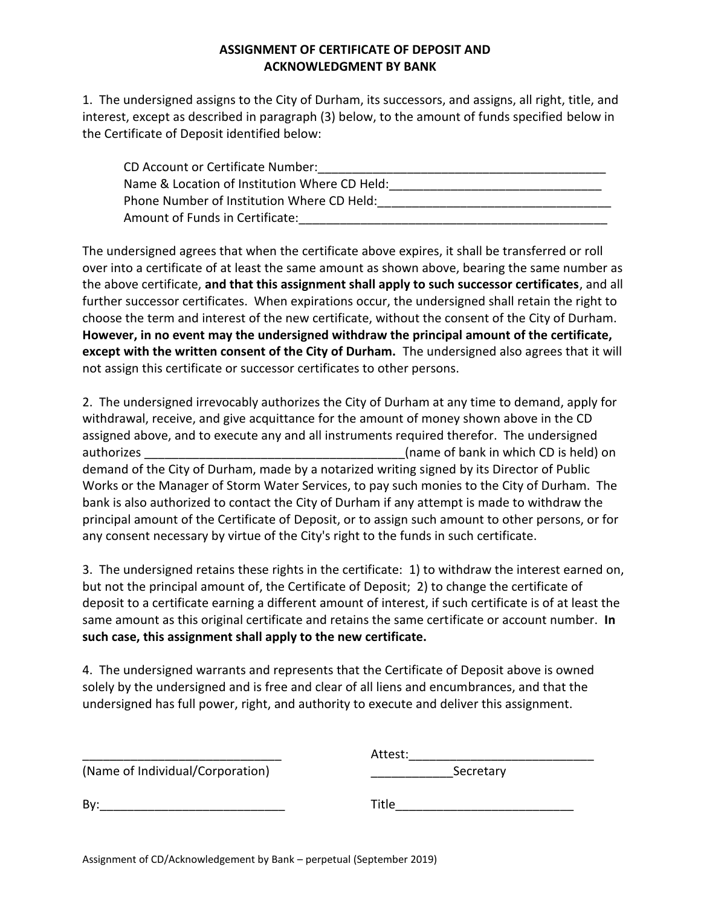## **ASSIGNMENT OF CERTIFICATE OF DEPOSIT AND ACKNOWLEDGMENT BY BANK**

1. The undersigned assigns to the City of Durham, its successors, and assigns, all right, title, and interest, except as described in paragraph (3) below, to the amount of funds specified below in the Certificate of Deposit identified below:

| CD Account or Certificate Number:             |
|-----------------------------------------------|
| Name & Location of Institution Where CD Held: |
| Phone Number of Institution Where CD Held:    |
| Amount of Funds in Certificate:               |

The undersigned agrees that when the certificate above expires, it shall be transferred or roll over into a certificate of at least the same amount as shown above, bearing the same number as the above certificate, **and that this assignment shall apply to such successor certificates**, and all further successor certificates. When expirations occur, the undersigned shall retain the right to choose the term and interest of the new certificate, without the consent of the City of Durham. **However, in no event may the undersigned withdraw the principal amount of the certificate, except with the written consent of the City of Durham.** The undersigned also agrees that it will not assign this certificate or successor certificates to other persons.

2. The undersigned irrevocably authorizes the City of Durham at any time to demand, apply for withdrawal, receive, and give acquittance for the amount of money shown above in the CD assigned above, and to execute any and all instruments required therefor. The undersigned authorizes authorizes and the set of bank in which CD is held) on a set of bank in which CD is held) on demand of the City of Durham, made by a notarized writing signed by its Director of Public Works or the Manager of Storm Water Services, to pay such monies to the City of Durham. The bank is also authorized to contact the City of Durham if any attempt is made to withdraw the principal amount of the Certificate of Deposit, or to assign such amount to other persons, or for any consent necessary by virtue of the City's right to the funds in such certificate.

3. The undersigned retains these rights in the certificate: 1) to withdraw the interest earned on, but not the principal amount of, the Certificate of Deposit; 2) to change the certificate of deposit to a certificate earning a different amount of interest, if such certificate is of at least the same amount as this original certificate and retains the same certificate or account number. **In such case, this assignment shall apply to the new certificate.**

4. The undersigned warrants and represents that the Certificate of Deposit above is owned solely by the undersigned and is free and clear of all liens and encumbrances, and that the undersigned has full power, right, and authority to execute and deliver this assignment.

|                                  | Attest:   |  |
|----------------------------------|-----------|--|
| (Name of Individual/Corporation) | Secretary |  |
| Bv:                              | Title     |  |